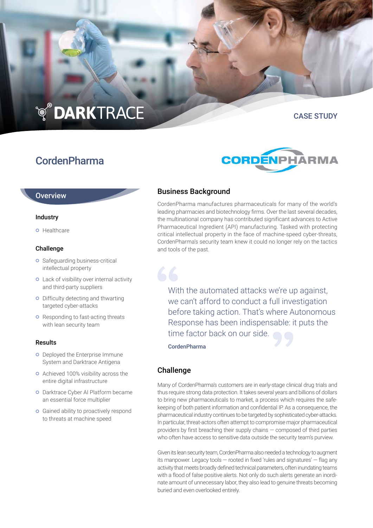# **TO DARKTRACE**

# CordenPharma

# CASE STUDY



#### **Overview**

#### Industry

**o** Healthcare

#### Challenge

- **o** Safeguarding business-critical intellectual property
- Lack of visibility over internal activity and third-party suppliers
- **o** Difficulty detecting and thwarting targeted cyber-attacks
- **o** Responding to fast-acting threats with lean security team

#### Results

- o Deployed the Enterprise Immune System and Darktrace Antigena
- **o** Achieved 100% visibility across the entire digital infrastructure
- Darktrace Cyber AI Platform became an essential force multiplier
- **o** Gained ability to proactively respond to threats at machine speed

# Business Background

CordenPharma manufactures pharmaceuticals for many of the world's leading pharmacies and biotechnology firms. Over the last several decades, the multinational company has contributed significant advances to Active Pharmaceutical Ingredient (API) manufacturing. Tasked with protecting critical intellectual property in the face of machine-speed cyber-threats, CordenPharma's security team knew it could no longer rely on the tactics and tools of the past.

With the automated attacks we're up against, we can't afford to conduct a full investigation before taking action. That's where Autonomous Response has been indispensable: it puts the time factor back on our side.

CordenPharma

# Challenge

Many of CordenPharma's customers are in early-stage clinical drug trials and thus require strong data protection. It takes several years and billions of dollars to bring new pharmaceuticals to market, a process which requires the safekeeping of both patient information and confidential IP. As a consequence, the pharmaceutical industry continues to be targeted by sophisticated cyber-attacks. In particular, threat-actors often attempt to compromise major pharmaceutical providers by first breaching their supply chains — composed of third parties who often have access to sensitive data outside the security team's purview.

Given its lean security team, CordenPharma also needed a technology to augment its manpower. Legacy tools — rooted in fixed 'rules and signatures' — flag any activity that meets broadly defined technical parameters, often inundating teams with a flood of false positive alerts. Not only do such alerts generate an inordinate amount of unnecessary labor, they also lead to genuine threats becoming buried and even overlooked entirely.